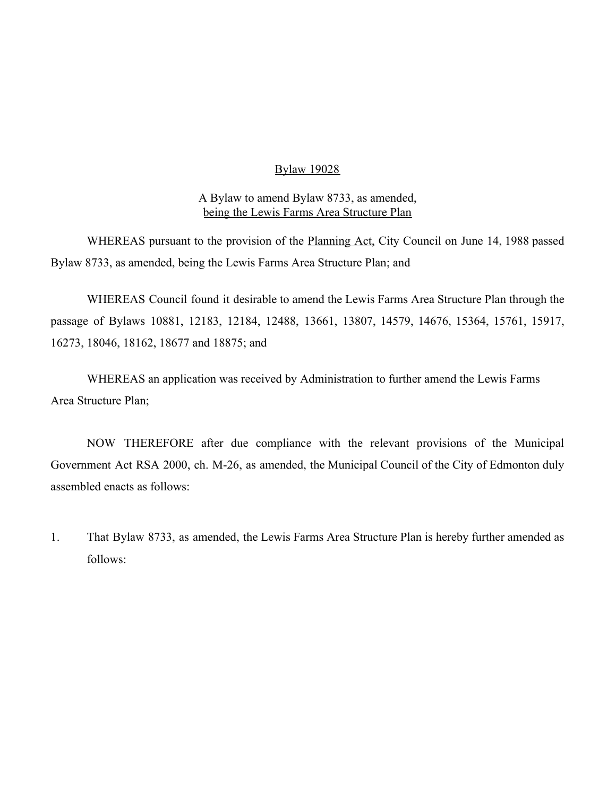#### Bylaw 19028

#### A Bylaw to amend Bylaw 8733, as amended, being the Lewis Farms Area Structure Plan

WHEREAS pursuant to the provision of the **Planning Act**, City Council on June 14, 1988 passed Bylaw 8733, as amended, being the Lewis Farms Area Structure Plan; and

WHEREAS Council found it desirable to amend the Lewis Farms Area Structure Plan through the passage of Bylaws 10881, 12183, 12184, 12488, 13661, 13807, 14579, 14676, 15364, 15761, 15917, 16273, 18046, 18162, 18677 and 18875; and

WHEREAS an application was received by Administration to further amend the Lewis Farms Area Structure Plan;

NOW THEREFORE after due compliance with the relevant provisions of the Municipal Government Act RSA 2000, ch. M-26, as amended, the Municipal Council of the City of Edmonton duly assembled enacts as follows:

1. That Bylaw 8733, as amended, the Lewis Farms Area Structure Plan is hereby further amended as follows: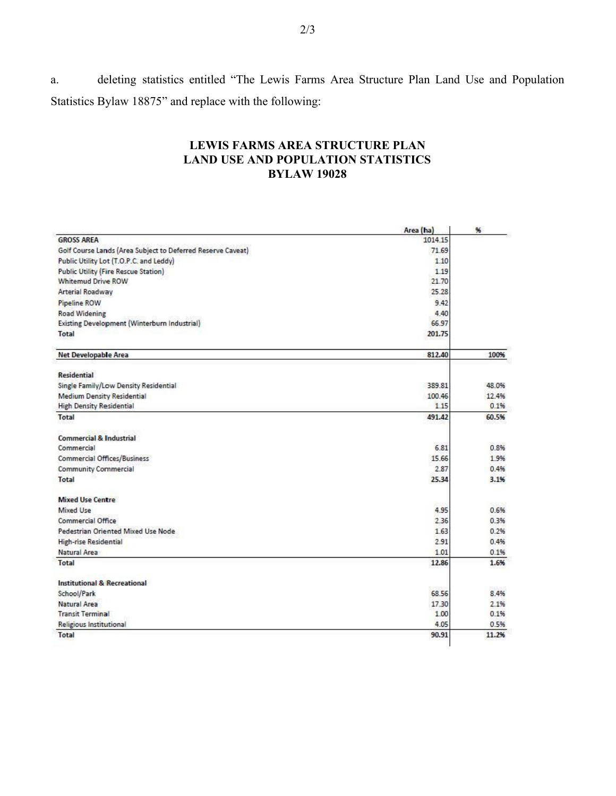a. deleting statistics entitled "The Lewis Farms Area Structure Plan Land Use and Population Statistics Bylaw 18875" and replace with the following:

## **LEWIS FARMS AREA STRUCTURE PLAN LAND USE AND POPULATION STATISTICS BYLAW 19028**

|                                                             | Area (ha) | %     |
|-------------------------------------------------------------|-----------|-------|
| <b>GROSS AREA</b>                                           | 1014.15   |       |
| Golf Course Lands (Area Subject to Deferred Reserve Caveat) | 71.69     |       |
| Public Utility Lot (T.O.P.C. and Leddy)                     | 1.10      |       |
| <b>Public Utility (Fire Rescue Station)</b>                 | 1.19      |       |
| <b>Whitemud Drive ROW</b>                                   | 21.70     |       |
| Arterial Roadway                                            | 25.28     |       |
| Pipeline ROW                                                | 9.42      |       |
| Road Widening                                               | 4.40      |       |
| Existing Development (Winterburn Industrial)                | 66.97     |       |
| Total                                                       | 201.75    |       |
| Net Developable Area                                        | 812.40    | 100%  |
| <b>Residential</b>                                          |           |       |
| Single Family/Low Density Residential                       | 389.81    | 48.0% |
| <b>Medium Density Residential</b>                           | 100.46    | 12.4% |
| <b>High Density Residential</b>                             | 1.15      | 0.1%  |
| Total                                                       | 491.42    | 60.5% |
| <b>Commercial &amp; Industrial</b>                          |           |       |
| Commercial                                                  | 6.81      | 0.8%  |
| Commercial Offices/Business                                 | 15.66     | 1.9%  |
| <b>Community Commercial</b>                                 | 2.87      | 0.4%  |
| <b>Total</b>                                                | 25.34     | 3.1%  |
| Mixed Use Centre                                            |           |       |
| Mixed Use                                                   | 4.95      | 0.6%  |
| Commercial Office                                           | 2.36      | 0.3%  |
| Pedestrian Oriented Mixed Use Node                          | 1.63      | 0.2%  |
| <b>High-rise Residential</b>                                | 2.91      | 0.4%  |
| Natural Area                                                | 1.01      | 0.1%  |
| Total                                                       | 12.86     | 1.6%  |
| Institutional & Recreational                                |           |       |
| School/Park                                                 | 68.56     | 8.4%  |
| Natural Area                                                | 17.30     | 2.1%  |
| <b>Transit Terminal</b>                                     | 1.00      | 0.1%  |
| <b>Religious Institutional</b>                              | 4.05      | 0.5%  |
| Total                                                       | 90.91     | 11.2% |